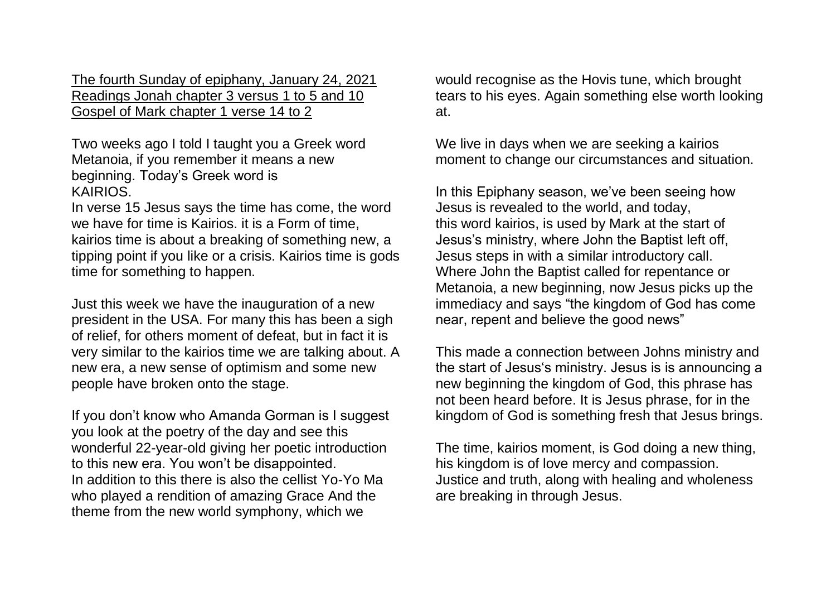The fourth Sunday of epiphany, January 24, 2021 Readings Jonah chapter 3 versus 1 to 5 and 10 Gospel of Mark chapter 1 verse 14 to 2

Two weeks ago I told I taught you a Greek word Metanoia, if you remember it means a new beginning. Today"s Greek word is KAIRIOS.

In verse 15 Jesus says the time has come, the word we have for time is Kairios. it is a Form of time, kairios time is about a breaking of something new, a tipping point if you like or a crisis. Kairios time is gods time for something to happen.

Just this week we have the inauguration of a new president in the USA. For many this has been a sigh of relief, for others moment of defeat, but in fact it is very similar to the kairios time we are talking about. A new era, a new sense of optimism and some new people have broken onto the stage.

If you don"t know who Amanda Gorman is I suggest you look at the poetry of the day and see this wonderful 22-year-old giving her poetic introduction to this new era. You won"t be disappointed. In addition to this there is also the cellist Yo-Yo Ma who played a rendition of amazing Grace And the theme from the new world symphony, which we

would recognise as the Hovis tune, which brought tears to his eyes. Again something else worth looking at.

We live in days when we are seeking a kairios moment to change our circumstances and situation.

In this Epiphany season, we've been seeing how Jesus is revealed to the world, and today, this word kairios, is used by Mark at the start of Jesus"s ministry, where John the Baptist left off, Jesus steps in with a similar introductory call. Where John the Baptist called for repentance or Metanoia, a new beginning, now Jesus picks up the immediacy and says "the kingdom of God has come near, repent and believe the good news"

This made a connection between Johns ministry and the start of Jesus"s ministry. Jesus is is announcing a new beginning the kingdom of God, this phrase has not been heard before. It is Jesus phrase, for in the kingdom of God is something fresh that Jesus brings.

The time, kairios moment, is God doing a new thing, his kingdom is of love mercy and compassion. Justice and truth, along with healing and wholeness are breaking in through Jesus.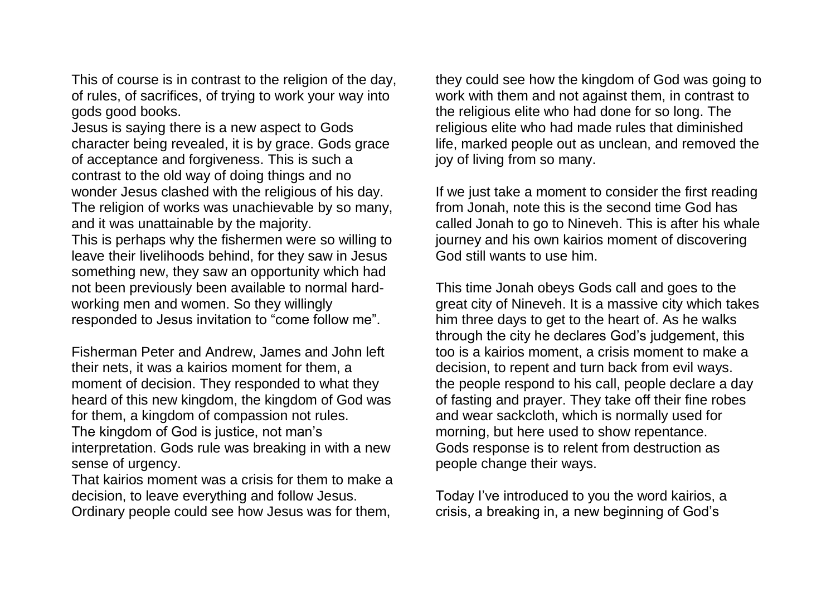This of course is in contrast to the religion of the day, of rules, of sacrifices, of trying to work your way into gods good books.

Jesus is saying there is a new aspect to Gods character being revealed, it is by grace. Gods grace of acceptance and forgiveness. This is such a contrast to the old way of doing things and no wonder Jesus clashed with the religious of his day. The religion of works was unachievable by so many, and it was unattainable by the majority.

This is perhaps why the fishermen were so willing to leave their livelihoods behind, for they saw in Jesus something new, they saw an opportunity which had not been previously been available to normal hardworking men and women. So they willingly responded to Jesus invitation to "come follow me".

Fisherman Peter and Andrew, James and John left their nets, it was a kairios moment for them, a moment of decision. They responded to what they heard of this new kingdom, the kingdom of God was for them, a kingdom of compassion not rules. The kingdom of God is justice, not man"s interpretation. Gods rule was breaking in with a new sense of urgency.

That kairios moment was a crisis for them to make a decision, to leave everything and follow Jesus. Ordinary people could see how Jesus was for them,

they could see how the kingdom of God was going to work with them and not against them, in contrast to the religious elite who had done for so long. The religious elite who had made rules that diminished life, marked people out as unclean, and removed the joy of living from so many.

If we just take a moment to consider the first reading from Jonah, note this is the second time God has called Jonah to go to Nineveh. This is after his whale journey and his own kairios moment of discovering God still wants to use him.

This time Jonah obeys Gods call and goes to the great city of Nineveh. It is a massive city which takes him three days to get to the heart of. As he walks through the city he declares God"s judgement, this too is a kairios moment, a crisis moment to make a decision, to repent and turn back from evil ways. the people respond to his call, people declare a day of fasting and prayer. They take off their fine robes and wear sackcloth, which is normally used for morning, but here used to show repentance. Gods response is to relent from destruction as people change their ways.

Today I've introduced to you the word kairios, a crisis, a breaking in, a new beginning of God"s